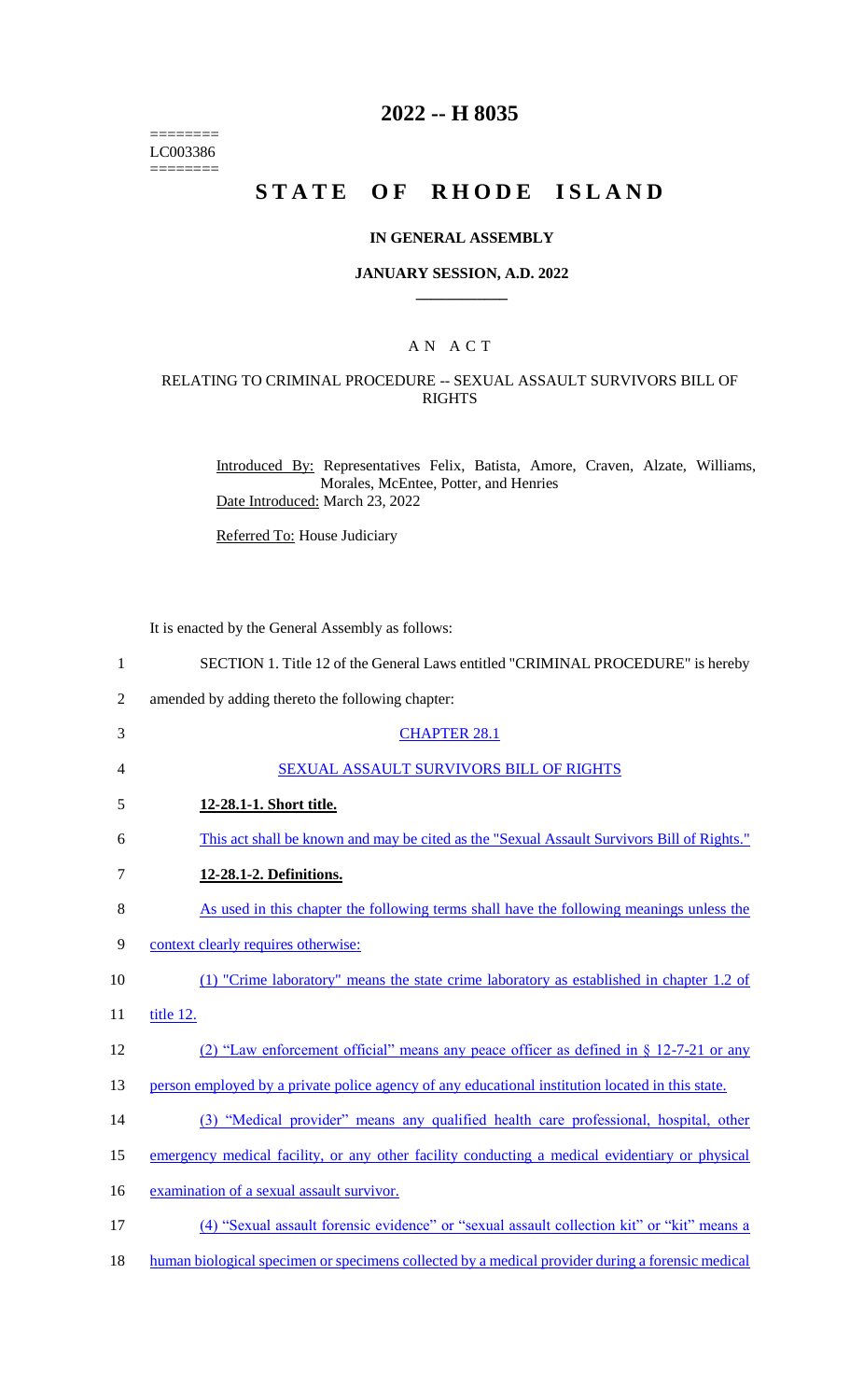======== LC003386  $=$ 

# **2022 -- H 8035**

# **STATE OF RHODE ISLAND**

### **IN GENERAL ASSEMBLY**

### **JANUARY SESSION, A.D. 2022 \_\_\_\_\_\_\_\_\_\_\_\_**

### A N A C T

### RELATING TO CRIMINAL PROCEDURE -- SEXUAL ASSAULT SURVIVORS BILL OF RIGHTS

Introduced By: Representatives Felix, Batista, Amore, Craven, Alzate, Williams, Morales, McEntee, Potter, and Henries Date Introduced: March 23, 2022

Referred To: House Judiciary

It is enacted by the General Assembly as follows:

| $\mathbf{1}$   | SECTION 1. Title 12 of the General Laws entitled "CRIMINAL PROCEDURE" is hereby                  |
|----------------|--------------------------------------------------------------------------------------------------|
| $\overline{2}$ | amended by adding thereto the following chapter:                                                 |
| 3              | <b>CHAPTER 28.1</b>                                                                              |
| 4              | SEXUAL ASSAULT SURVIVORS BILL OF RIGHTS                                                          |
| 5              | 12-28.1-1. Short title.                                                                          |
| 6              | This act shall be known and may be cited as the "Sexual Assault Survivors Bill of Rights."       |
| $\tau$         | 12-28.1-2. Definitions.                                                                          |
| 8              | As used in this chapter the following terms shall have the following meanings unless the         |
| 9              | context clearly requires otherwise:                                                              |
| 10             | (1) "Crime laboratory" means the state crime laboratory as established in chapter 1.2 of         |
| 11             | title 12.                                                                                        |
| 12             | (2) "Law enforcement official" means any peace officer as defined in $\S$ 12-7-21 or any         |
| 13             | person employed by a private police agency of any educational institution located in this state. |
| 14             | (3) "Medical provider" means any qualified health care professional, hospital, other             |
| 15             | emergency medical facility, or any other facility conducting a medical evidentiary or physical   |
| 16             | examination of a sexual assault survivor.                                                        |
| 17             | (4) "Sexual assault forensic evidence" or "sexual assault collection kit" or "kit" means a       |
| 18             | human biological specimen or specimens collected by a medical provider during a forensic medical |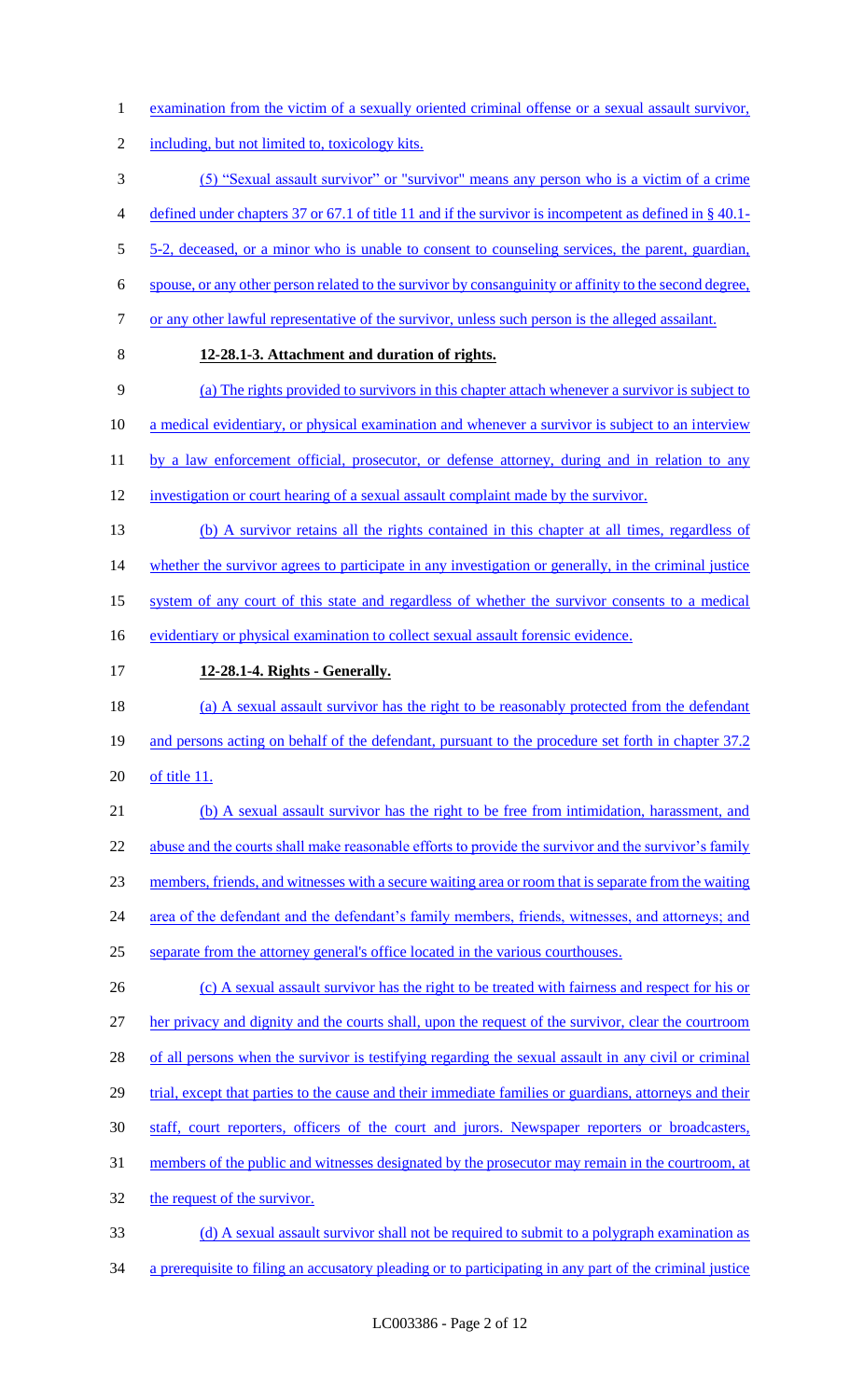- 1 examination from the victim of a sexually oriented criminal offense or a sexual assault survivor,
- 2 including, but not limited to, toxicology kits.
- 3 (5) "Sexual assault survivor" or "survivor" means any person who is a victim of a crime
- 4 defined under chapters 37 or 67.1 of title 11 and if the survivor is incompetent as defined in § 40.1-
- 5 5-2, deceased, or a minor who is unable to consent to counseling services, the parent, guardian,
- 6 spouse, or any other person related to the survivor by consanguinity or affinity to the second degree,
- 7 or any other lawful representative of the survivor, unless such person is the alleged assailant.
- 

### 8 **12-28.1-3. Attachment and duration of rights.**

- 9 (a) The rights provided to survivors in this chapter attach whenever a survivor is subject to
- 10 a medical evidentiary, or physical examination and whenever a survivor is subject to an interview
- 11 by a law enforcement official, prosecutor, or defense attorney, during and in relation to any
- 12 investigation or court hearing of a sexual assault complaint made by the survivor.
- 13 (b) A survivor retains all the rights contained in this chapter at all times, regardless of 14 whether the survivor agrees to participate in any investigation or generally, in the criminal justice
- 15 system of any court of this state and regardless of whether the survivor consents to a medical
- 16 evidentiary or physical examination to collect sexual assault forensic evidence.
- 17 **12-28.1-4. Rights - Generally.**
- 18 (a) A sexual assault survivor has the right to be reasonably protected from the defendant 19 and persons acting on behalf of the defendant, pursuant to the procedure set forth in chapter 37.2
- 20 of title 11.
- 21 (b) A sexual assault survivor has the right to be free from intimidation, harassment, and 22 abuse and the courts shall make reasonable efforts to provide the survivor and the survivor's family 23 members, friends, and witnesses with a secure waiting area or room that is separate from the waiting 24 area of the defendant and the defendant's family members, friends, witnesses, and attorneys; and 25 separate from the attorney general's office located in the various courthouses.
- 26 (c) A sexual assault survivor has the right to be treated with fairness and respect for his or 27 her privacy and dignity and the courts shall, upon the request of the survivor, clear the courtroom 28 of all persons when the survivor is testifying regarding the sexual assault in any civil or criminal 29 trial, except that parties to the cause and their immediate families or guardians, attorneys and their 30 staff, court reporters, officers of the court and jurors. Newspaper reporters or broadcasters, 31 members of the public and witnesses designated by the prosecutor may remain in the courtroom, at 32 the request of the survivor.
- 33 (d) A sexual assault survivor shall not be required to submit to a polygraph examination as
- 34 a prerequisite to filing an accusatory pleading or to participating in any part of the criminal justice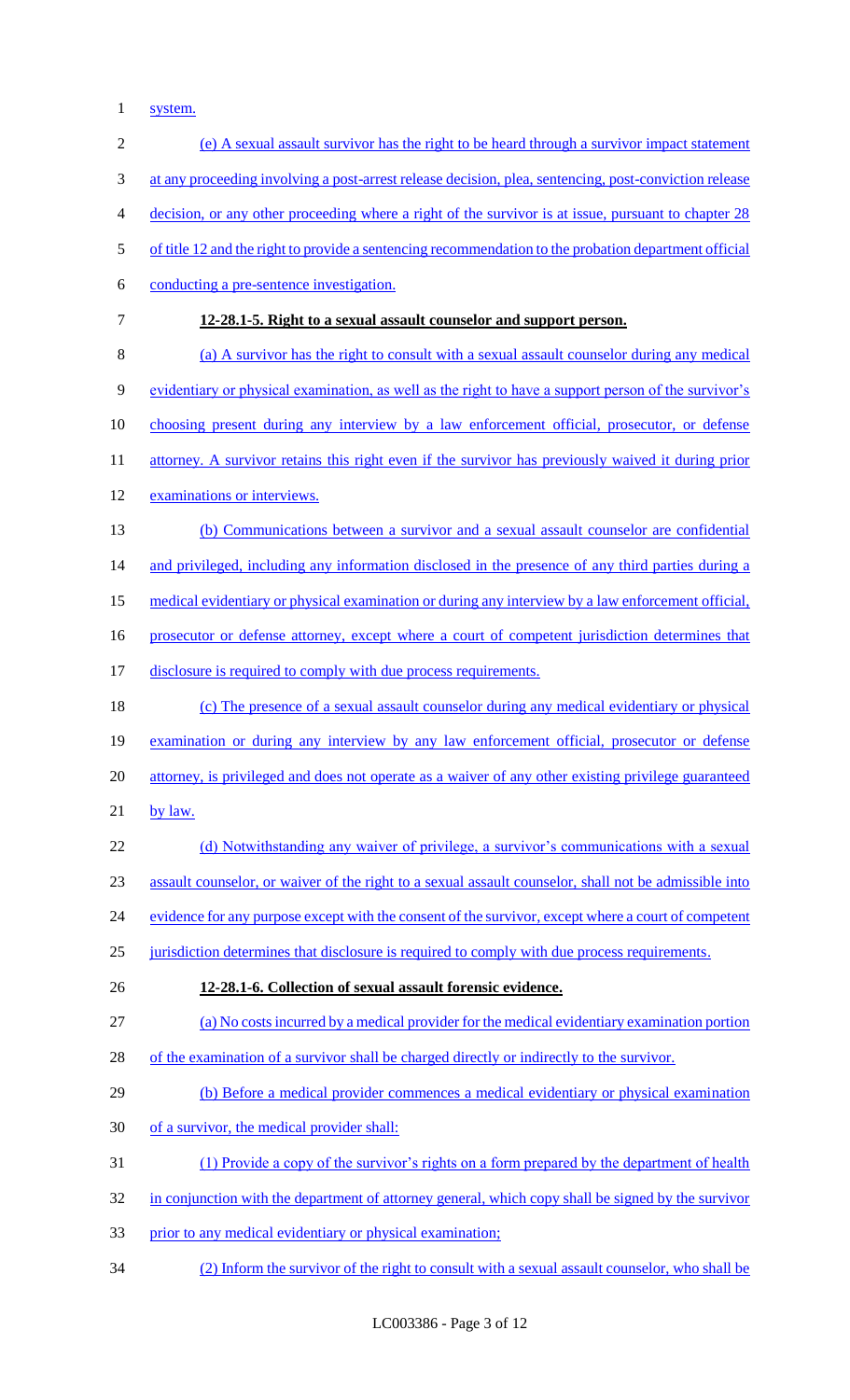system.

| $\sqrt{2}$ | (e) A sexual assault survivor has the right to be heard through a survivor impact statement           |
|------------|-------------------------------------------------------------------------------------------------------|
| 3          | at any proceeding involving a post-arrest release decision, plea, sentencing, post-conviction release |
| 4          | decision, or any other proceeding where a right of the survivor is at issue, pursuant to chapter 28   |
| 5          | of title 12 and the right to provide a sentencing recommendation to the probation department official |
| 6          | conducting a pre-sentence investigation.                                                              |
| $\tau$     | 12-28.1-5. Right to a sexual assault counselor and support person.                                    |
| 8          | (a) A survivor has the right to consult with a sexual assault counselor during any medical            |
| 9          | evidentiary or physical examination, as well as the right to have a support person of the survivor's  |
| 10         | <u>choosing present during any interview by a law enforcement official, prosecutor, or defense</u>    |
| 11         | attorney. A survivor retains this right even if the survivor has previously waived it during prior    |
| 12         | examinations or interviews.                                                                           |
| 13         | (b) Communications between a survivor and a sexual assault counselor are confidential                 |
| 14         | and privileged, including any information disclosed in the presence of any third parties during a     |
| 15         | medical evidentiary or physical examination or during any interview by a law enforcement official,    |
| 16         | prosecutor or defense attorney, except where a court of competent jurisdiction determines that        |
| 17         | disclosure is required to comply with due process requirements.                                       |
| 18         | (c) The presence of a sexual assault counselor during any medical evidentiary or physical             |
| 19         | examination or during any interview by any law enforcement official, prosecutor or defense            |
| 20         | attorney, is privileged and does not operate as a waiver of any other existing privilege guaranteed   |
| 21         | by law.                                                                                               |
| 22         | (d) Notwithstanding any waiver of privilege, a survivor's communications with a sexual                |
| 23         | assault counselor, or waiver of the right to a sexual assault counselor, shall not be admissible into |
| 24         | evidence for any purpose except with the consent of the survivor, except where a court of competent   |
| 25         | jurisdiction determines that disclosure is required to comply with due process requirements.          |
| 26         | 12-28.1-6. Collection of sexual assault forensic evidence.                                            |
| 27         | (a) No costs incurred by a medical provider for the medical evidentiary examination portion           |
| 28         | of the examination of a survivor shall be charged directly or indirectly to the survivor.             |
| 29         | (b) Before a medical provider commences a medical evidentiary or physical examination                 |
| 30         | of a survivor, the medical provider shall:                                                            |
| 31         | (1) Provide a copy of the survivor's rights on a form prepared by the department of health            |
| 32         | in conjunction with the department of attorney general, which copy shall be signed by the survivor    |
| 33         | prior to any medical evidentiary or physical examination;                                             |
| 34         | (2) Inform the survivor of the right to consult with a sexual assault counselor, who shall be         |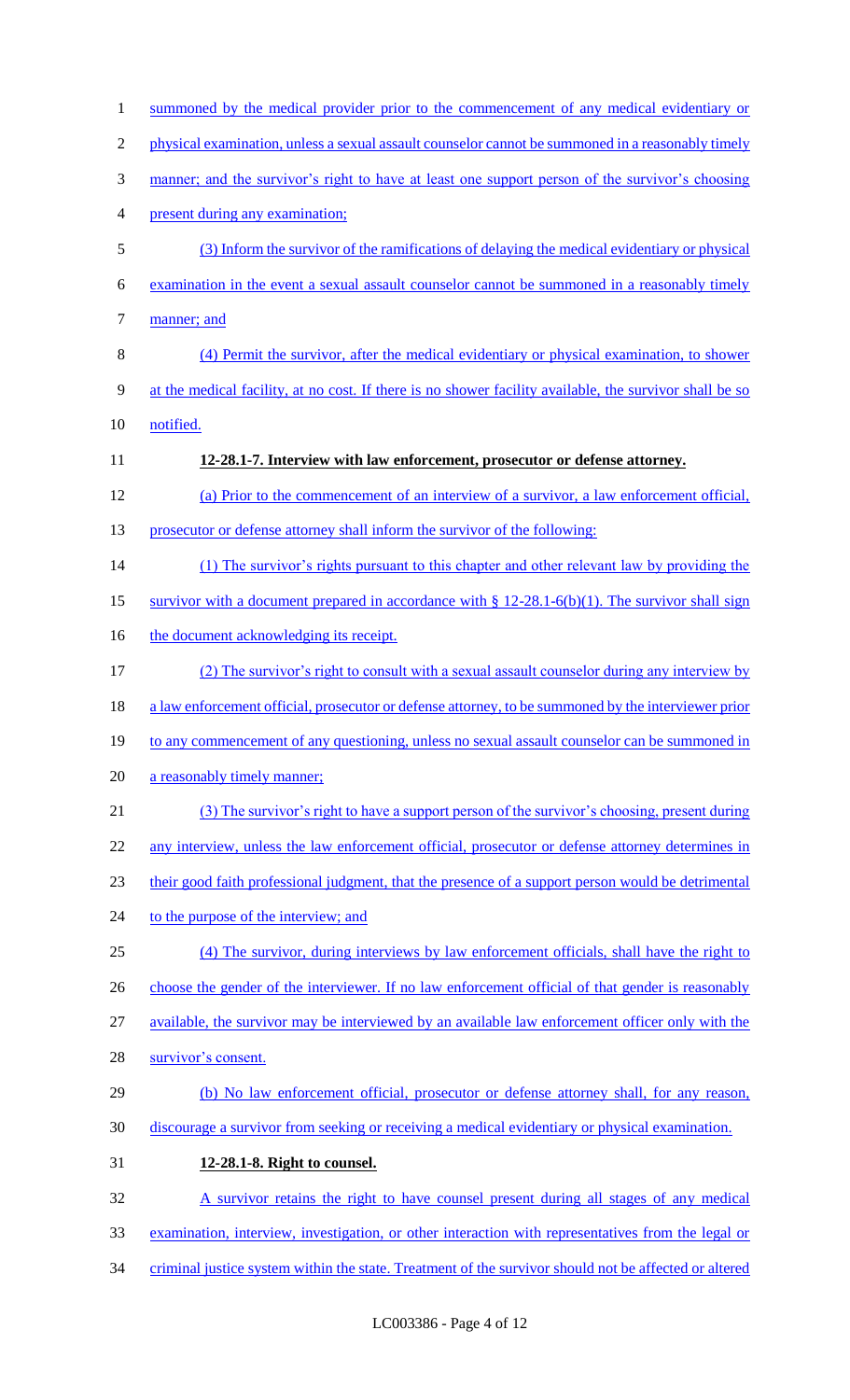| $\mathbf{1}$   | summoned by the medical provider prior to the commencement of any medical evidentiary or                |
|----------------|---------------------------------------------------------------------------------------------------------|
| $\overline{2}$ | physical examination, unless a sexual assault counselor cannot be summoned in a reasonably timely       |
| 3              | manner; and the survivor's right to have at least one support person of the survivor's choosing         |
| 4              | present during any examination;                                                                         |
| 5              | (3) Inform the survivor of the ramifications of delaying the medical evidentiary or physical            |
| 6              | examination in the event a sexual assault counselor cannot be summoned in a reasonably timely           |
| 7              | manner; and                                                                                             |
| 8              | (4) Permit the survivor, after the medical evidentiary or physical examination, to shower               |
| 9              | at the medical facility, at no cost. If there is no shower facility available, the survivor shall be so |
| 10             | notified.                                                                                               |
| 11             | 12-28.1-7. Interview with law enforcement, prosecutor or defense attorney.                              |
| 12             | (a) Prior to the commencement of an interview of a survivor, a law enforcement official,                |
| 13             | prosecutor or defense attorney shall inform the survivor of the following:                              |
| 14             | (1) The survivor's rights pursuant to this chapter and other relevant law by providing the              |
| 15             | survivor with a document prepared in accordance with $\S$ 12-28.1-6(b)(1). The survivor shall sign      |
| 16             | the document acknowledging its receipt.                                                                 |
| 17             | (2) The survivor's right to consult with a sexual assault counselor during any interview by             |
| 18             | a law enforcement official, prosecutor or defense attorney, to be summoned by the interviewer prior     |
| 19             | to any commencement of any questioning, unless no sexual assault counselor can be summoned in           |
| 20             | a reasonably timely manner;                                                                             |
| 21             | (3) The survivor's right to have a support person of the survivor's choosing, present during            |
| 22             | any interview, unless the law enforcement official, prosecutor or defense attorney determines in        |
| 23             | their good faith professional judgment, that the presence of a support person would be detrimental      |
| 24             | to the purpose of the interview; and                                                                    |
| 25             | (4) The survivor, during interviews by law enforcement officials, shall have the right to               |
| 26             | choose the gender of the interviewer. If no law enforcement official of that gender is reasonably       |
| 27             | available, the survivor may be interviewed by an available law enforcement officer only with the        |
| 28             | survivor's consent.                                                                                     |
| 29             | (b) No law enforcement official, prosecutor or defense attorney shall, for any reason,                  |
| 30             | discourage a survivor from seeking or receiving a medical evidentiary or physical examination.          |
| 31             | 12-28.1-8. Right to counsel.                                                                            |
| 32             | A survivor retains the right to have counsel present during all stages of any medical                   |
| 33             | examination, interview, investigation, or other interaction with representatives from the legal or      |
| 34             | criminal justice system within the state. Treatment of the survivor should not be affected or altered   |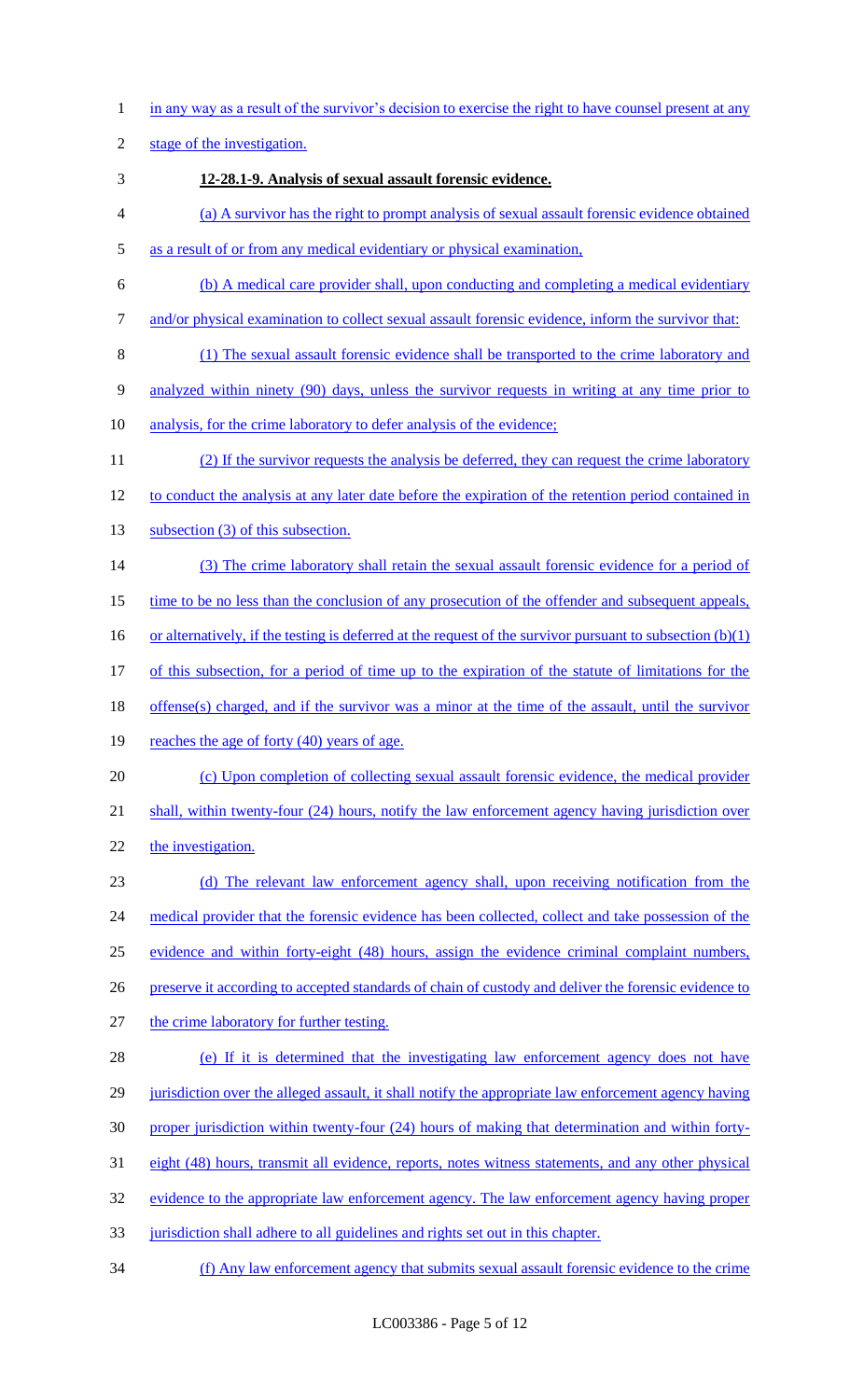1 in any way as a result of the survivor's decision to exercise the right to have counsel present at any

2 stage of the investigation.

- 3 **12-28.1-9. Analysis of sexual assault forensic evidence.**
- 4 (a) A survivor has the right to prompt analysis of sexual assault forensic evidence obtained
- 5 as a result of or from any medical evidentiary or physical examination,
- 6 (b) A medical care provider shall, upon conducting and completing a medical evidentiary
- 7 and/or physical examination to collect sexual assault forensic evidence, inform the survivor that:
- 8 (1) The sexual assault forensic evidence shall be transported to the crime laboratory and 9 analyzed within ninety (90) days, unless the survivor requests in writing at any time prior to
- 10 analysis, for the crime laboratory to defer analysis of the evidence;
- 11 (2) If the survivor requests the analysis be deferred, they can request the crime laboratory 12 to conduct the analysis at any later date before the expiration of the retention period contained in
- 13 subsection (3) of this subsection.
- 14 (3) The crime laboratory shall retain the sexual assault forensic evidence for a period of
- 15 time to be no less than the conclusion of any prosecution of the offender and subsequent appeals,
- 16 or alternatively, if the testing is deferred at the request of the survivor pursuant to subsection (b)(1)
- 17 of this subsection, for a period of time up to the expiration of the statute of limitations for the
- 18 offense(s) charged, and if the survivor was a minor at the time of the assault, until the survivor
- 19 reaches the age of forty (40) years of age.
- 20 (c) Upon completion of collecting sexual assault forensic evidence, the medical provider
- 21 shall, within twenty-four (24) hours, notify the law enforcement agency having jurisdiction over
- 22 the investigation.
- 23 (d) The relevant law enforcement agency shall, upon receiving notification from the 24 medical provider that the forensic evidence has been collected, collect and take possession of the 25 evidence and within forty-eight (48) hours, assign the evidence criminal complaint numbers, 26 preserve it according to accepted standards of chain of custody and deliver the forensic evidence to 27 the crime laboratory for further testing.
- 28 (e) If it is determined that the investigating law enforcement agency does not have 29 jurisdiction over the alleged assault, it shall notify the appropriate law enforcement agency having 30 proper jurisdiction within twenty-four (24) hours of making that determination and within forty-31 eight (48) hours, transmit all evidence, reports, notes witness statements, and any other physical 32 evidence to the appropriate law enforcement agency. The law enforcement agency having proper 33 jurisdiction shall adhere to all guidelines and rights set out in this chapter.
- 
- 34 (f) Any law enforcement agency that submits sexual assault forensic evidence to the crime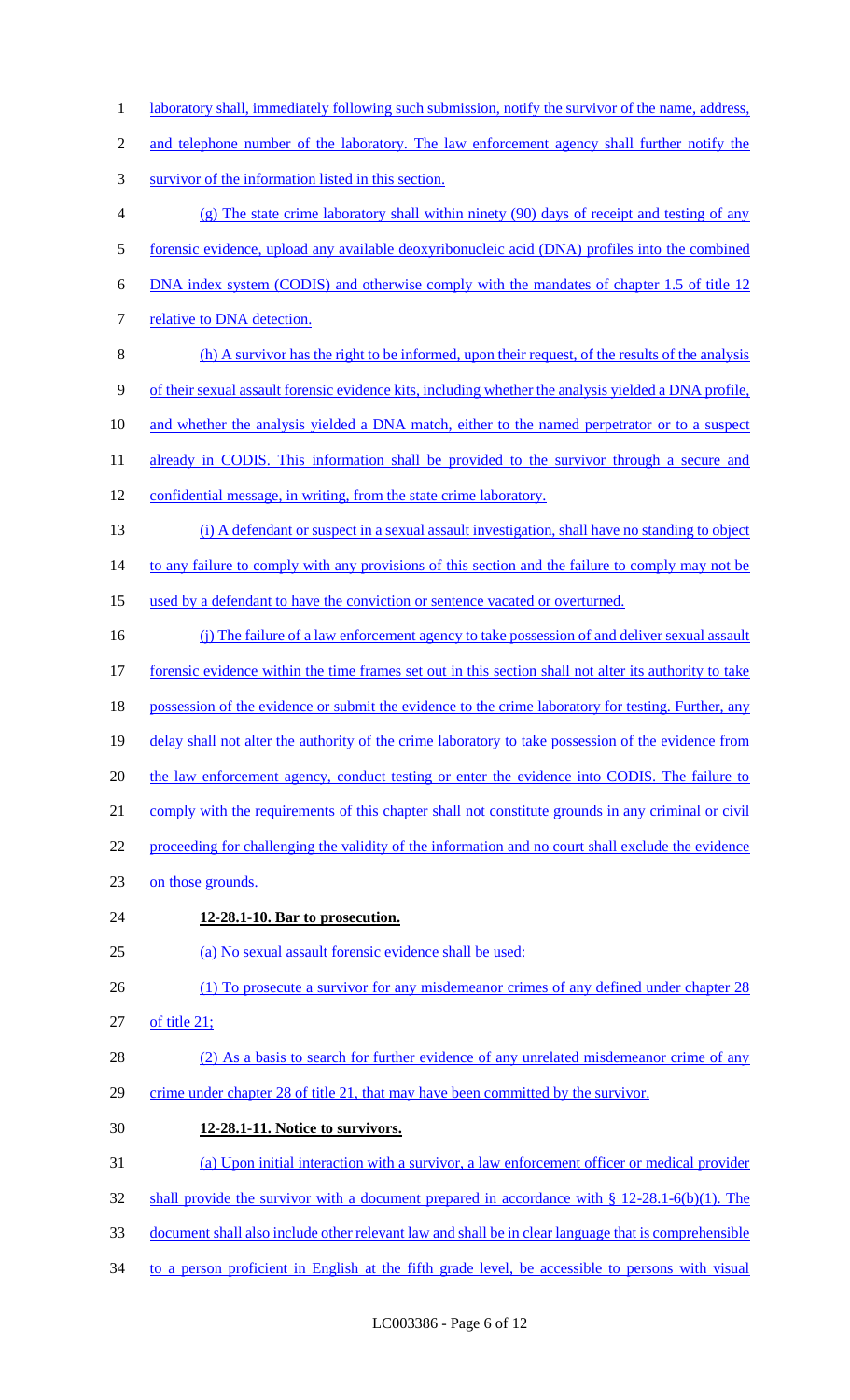- 1 laboratory shall, immediately following such submission, notify the survivor of the name, address,
- 2 and telephone number of the laboratory. The law enforcement agency shall further notify the
- survivor of the information listed in this section.
- (g) The state crime laboratory shall within ninety (90) days of receipt and testing of any forensic evidence, upload any available deoxyribonucleic acid (DNA) profiles into the combined
- DNA index system (CODIS) and otherwise comply with the mandates of chapter 1.5 of title 12
- 7 relative to DNA detection.
- (h) A survivor has the right to be informed, upon their request, of the results of the analysis of their sexual assault forensic evidence kits, including whether the analysis yielded a DNA profile, 10 and whether the analysis yielded a DNA match, either to the named perpetrator or to a suspect
- 11 already in CODIS. This information shall be provided to the survivor through a secure and
- confidential message, in writing, from the state crime laboratory.
- (i) A defendant or suspect in a sexual assault investigation, shall have no standing to object

14 to any failure to comply with any provisions of this section and the failure to comply may not be

- 15 used by a defendant to have the conviction or sentence vacated or overturned.
- (j) The failure of a law enforcement agency to take possession of and deliver sexual assault 17 forensic evidence within the time frames set out in this section shall not alter its authority to take 18 possession of the evidence or submit the evidence to the crime laboratory for testing. Further, any 19 delay shall not alter the authority of the crime laboratory to take possession of the evidence from 20 the law enforcement agency, conduct testing or enter the evidence into CODIS. The failure to comply with the requirements of this chapter shall not constitute grounds in any criminal or civil
- proceeding for challenging the validity of the information and no court shall exclude the evidence
- on those grounds.
- **12-28.1-10. Bar to prosecution.**

(a) No sexual assault forensic evidence shall be used:

- 26 (1) To prosecute a survivor for any misdemeanor crimes of any defined under chapter 28
- of title 21;
- (2) As a basis to search for further evidence of any unrelated misdemeanor crime of any crime under chapter 28 of title 21, that may have been committed by the survivor.
- **12-28.1-11. Notice to survivors.**
- (a) Upon initial interaction with a survivor, a law enforcement officer or medical provider
- shall provide the survivor with a document prepared in accordance with § 12-28.1-6(b)(1). The
- document shall also include other relevant law and shall be in clear language that is comprehensible
- to a person proficient in English at the fifth grade level, be accessible to persons with visual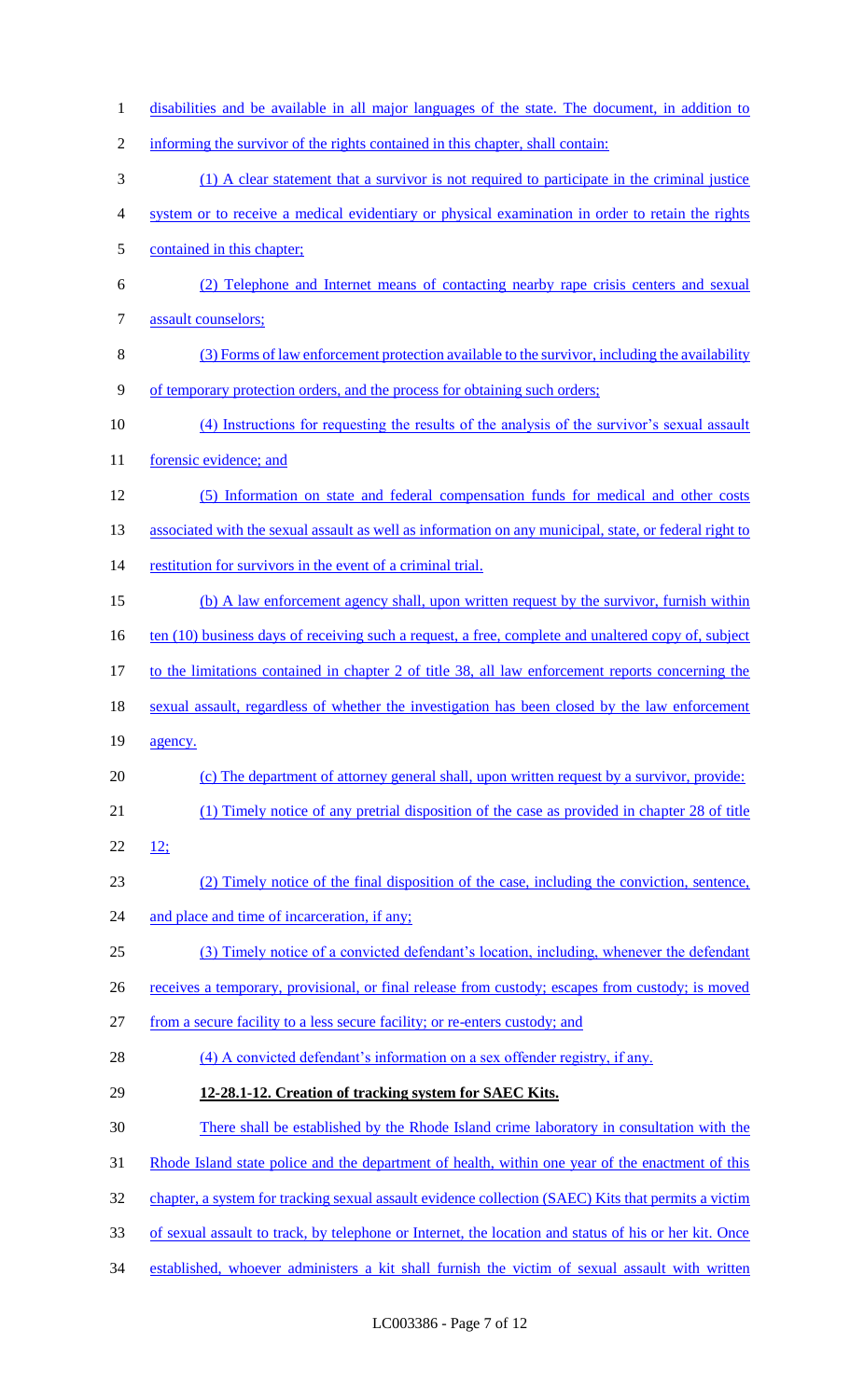disabilities and be available in all major languages of the state. The document, in addition to informing the survivor of the rights contained in this chapter, shall contain: (1) A clear statement that a survivor is not required to participate in the criminal justice system or to receive a medical evidentiary or physical examination in order to retain the rights contained in this chapter; (2) Telephone and Internet means of contacting nearby rape crisis centers and sexual assault counselors; (3) Forms of law enforcement protection available to the survivor, including the availability of temporary protection orders, and the process for obtaining such orders; (4) Instructions for requesting the results of the analysis of the survivor's sexual assault 11 forensic evidence; and (5) Information on state and federal compensation funds for medical and other costs 13 associated with the sexual assault as well as information on any municipal, state, or federal right to 14 restitution for survivors in the event of a criminal trial. (b) A law enforcement agency shall, upon written request by the survivor, furnish within 16 ten (10) business days of receiving such a request, a free, complete and unaltered copy of, subject 17 to the limitations contained in chapter 2 of title 38, all law enforcement reports concerning the sexual assault, regardless of whether the investigation has been closed by the law enforcement 19 agency. (c) The department of attorney general shall, upon written request by a survivor, provide: (1) Timely notice of any pretrial disposition of the case as provided in chapter 28 of title 22  $12;$  (2) Timely notice of the final disposition of the case, including the conviction, sentence, 24 and place and time of incarceration, if any; (3) Timely notice of a convicted defendant's location, including, whenever the defendant 26 receives a temporary, provisional, or final release from custody; escapes from custody; is moved from a secure facility to a less secure facility; or re-enters custody; and 28 (4) A convicted defendant's information on a sex offender registry, if any. **12-28.1-12. Creation of tracking system for SAEC Kits.**  There shall be established by the Rhode Island crime laboratory in consultation with the 31 Rhode Island state police and the department of health, within one year of the enactment of this 32 chapter, a system for tracking sexual assault evidence collection (SAEC) Kits that permits a victim of sexual assault to track, by telephone or Internet, the location and status of his or her kit. Once established, whoever administers a kit shall furnish the victim of sexual assault with written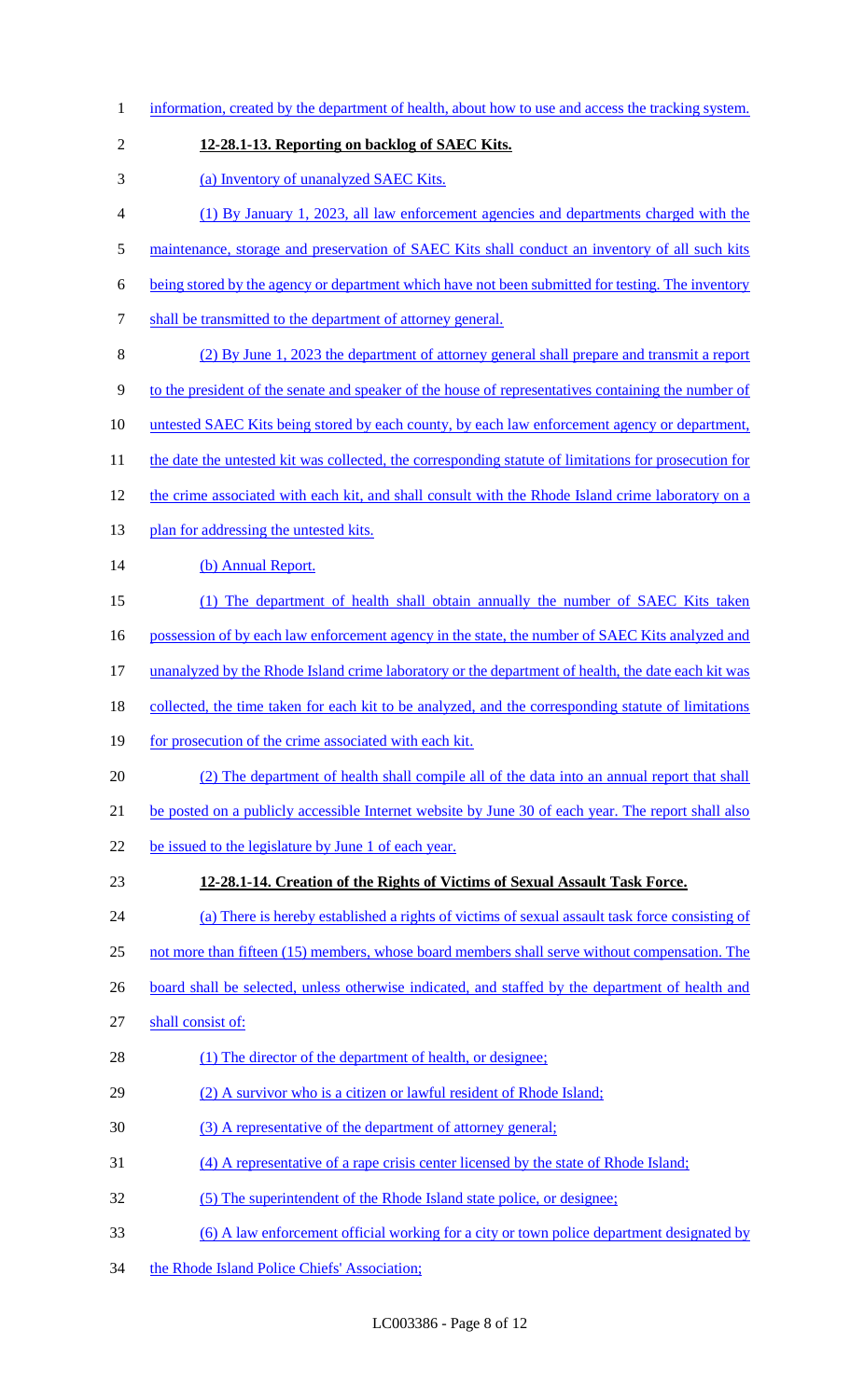| $\mathbf{1}$   | information, created by the department of health, about how to use and access the tracking system.    |
|----------------|-------------------------------------------------------------------------------------------------------|
| $\overline{2}$ | 12-28.1-13. Reporting on backlog of SAEC Kits.                                                        |
| 3              | (a) Inventory of unanalyzed SAEC Kits.                                                                |
| 4              | (1) By January 1, 2023, all law enforcement agencies and departments charged with the                 |
| 5              | maintenance, storage and preservation of SAEC Kits shall conduct an inventory of all such kits        |
| 6              | being stored by the agency or department which have not been submitted for testing. The inventory     |
| 7              | shall be transmitted to the department of attorney general.                                           |
| 8              | (2) By June 1, 2023 the department of attorney general shall prepare and transmit a report            |
| 9              | to the president of the senate and speaker of the house of representatives containing the number of   |
| 10             | <u>untested SAEC Kits being stored by each county, by each law enforcement agency or department,</u>  |
| 11             | the date the untested kit was collected, the corresponding statute of limitations for prosecution for |
| 12             | the crime associated with each kit, and shall consult with the Rhode Island crime laboratory on a     |
| 13             | plan for addressing the untested kits.                                                                |
| 14             | (b) Annual Report.                                                                                    |
| 15             | (1) The department of health shall obtain annually the number of SAEC Kits taken                      |
| 16             | possession of by each law enforcement agency in the state, the number of SAEC Kits analyzed and       |
| 17             | unanalyzed by the Rhode Island crime laboratory or the department of health, the date each kit was    |
| 18             | collected, the time taken for each kit to be analyzed, and the corresponding statute of limitations   |
| 19             | for prosecution of the crime associated with each kit.                                                |
| 20             | (2) The department of health shall compile all of the data into an annual report that shall           |
| 21             | be posted on a publicly accessible Internet website by June 30 of each year. The report shall also    |
| 22             | be issued to the legislature by June 1 of each year.                                                  |
| 23             | 12-28.1-14. Creation of the Rights of Victims of Sexual Assault Task Force.                           |
| 24             | (a) There is hereby established a rights of victims of sexual assault task force consisting of        |
| 25             | not more than fifteen (15) members, whose board members shall serve without compensation. The         |
| 26             | board shall be selected, unless otherwise indicated, and staffed by the department of health and      |
| 27             | shall consist of:                                                                                     |
| 28             | (1) The director of the department of health, or designee;                                            |
| 29             | (2) A survivor who is a citizen or lawful resident of Rhode Island;                                   |
| 30             | (3) A representative of the department of attorney general;                                           |
| 31             | (4) A representative of a rape crisis center licensed by the state of Rhode Island;                   |
| 32             | (5) The superintendent of the Rhode Island state police, or designee;                                 |
| 33             | <u>(6) A law enforcement official working for a city or town police department designated by</u>      |
| 34             | the Rhode Island Police Chiefs' Association;                                                          |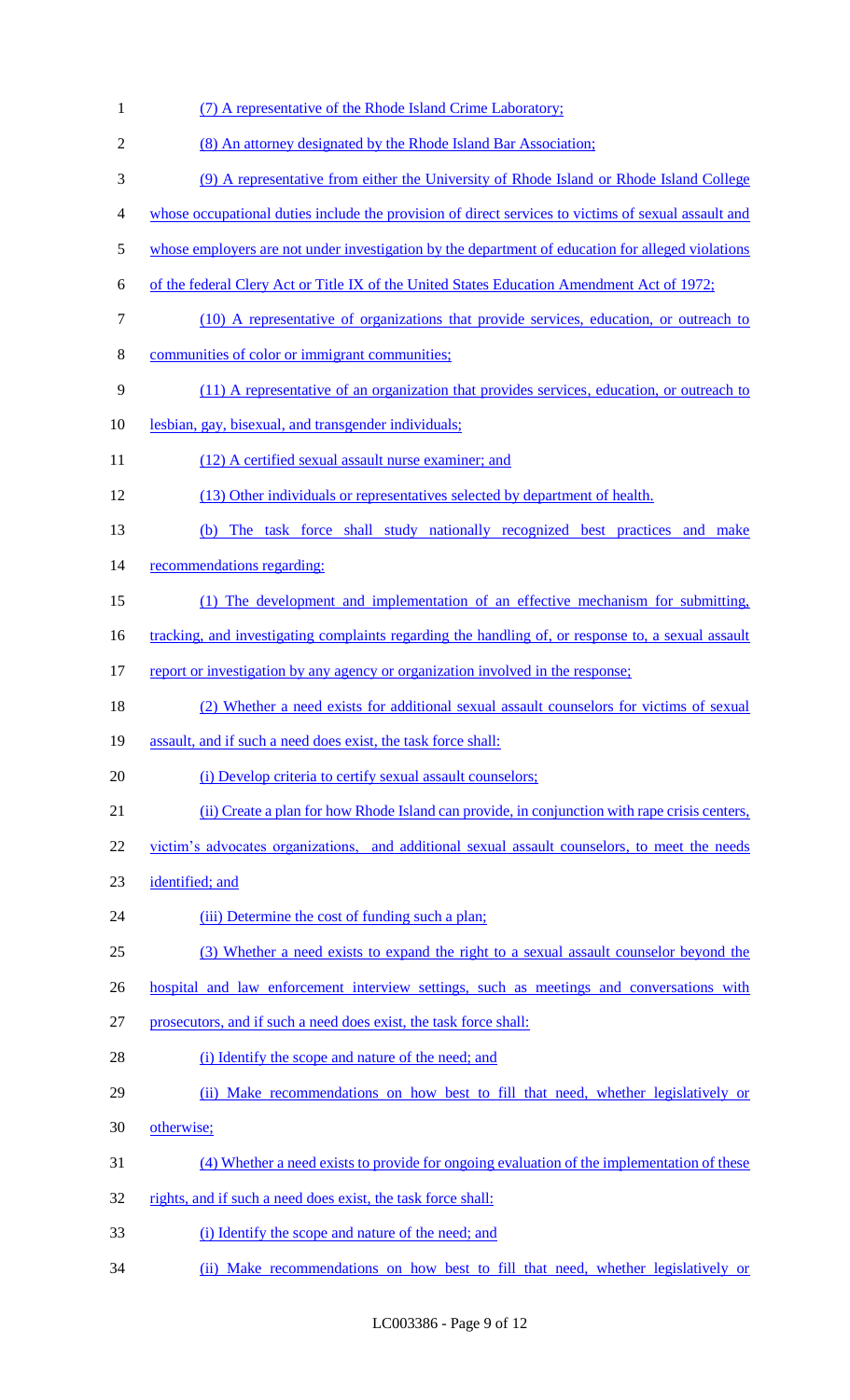| $\mathbf{1}$   | (7) A representative of the Rhode Island Crime Laboratory;                                          |
|----------------|-----------------------------------------------------------------------------------------------------|
| $\mathfrak{2}$ | (8) An attorney designated by the Rhode Island Bar Association;                                     |
| 3              | (9) A representative from either the University of Rhode Island or Rhode Island College             |
| 4              | whose occupational duties include the provision of direct services to victims of sexual assault and |
| $\mathfrak s$  | whose employers are not under investigation by the department of education for alleged violations   |
| 6              | of the federal Clery Act or Title IX of the United States Education Amendment Act of 1972;          |
| $\tau$         | (10) A representative of organizations that provide services, education, or outreach to             |
| $8\,$          | communities of color or immigrant communities;                                                      |
| 9              | (11) A representative of an organization that provides services, education, or outreach to          |
| 10             | lesbian, gay, bisexual, and transgender individuals;                                                |
| 11             | (12) A certified sexual assault nurse examiner; and                                                 |
| 12             | (13) Other individuals or representatives selected by department of health.                         |
| 13             | (b) The task force shall study nationally recognized best practices and make                        |
| 14             | recommendations regarding:                                                                          |
| 15             | (1) The development and implementation of an effective mechanism for submitting,                    |
| 16             | tracking, and investigating complaints regarding the handling of, or response to, a sexual assault  |
| 17             | report or investigation by any agency or organization involved in the response;                     |
| 18             | (2) Whether a need exists for additional sexual assault counselors for victims of sexual            |
| 19             | assault, and if such a need does exist, the task force shall:                                       |
| 20             | (i) Develop criteria to certify sexual assault counselors;                                          |
| 21             | (ii) Create a plan for how Rhode Island can provide, in conjunction with rape crisis centers,       |
| 22             | victim's advocates organizations, and additional sexual assault counselors, to meet the needs       |
| 23             | identified; and                                                                                     |
| 24             | (iii) Determine the cost of funding such a plan;                                                    |
| 25             | (3) Whether a need exists to expand the right to a sexual assault counselor beyond the              |
| 26             | hospital and law enforcement interview settings, such as meetings and conversations with            |
| 27             | prosecutors, and if such a need does exist, the task force shall:                                   |
| 28             | (i) Identify the scope and nature of the need; and                                                  |
| 29             | (ii) Make recommendations on how best to fill that need, whether legislatively or                   |
| 30             | otherwise;                                                                                          |
| 31             | (4) Whether a need exists to provide for ongoing evaluation of the implementation of these          |
| 32             | rights, and if such a need does exist, the task force shall:                                        |
| 33             | (i) Identify the scope and nature of the need; and                                                  |
| 34             | (ii) Make recommendations on how best to fill that need, whether legislatively or                   |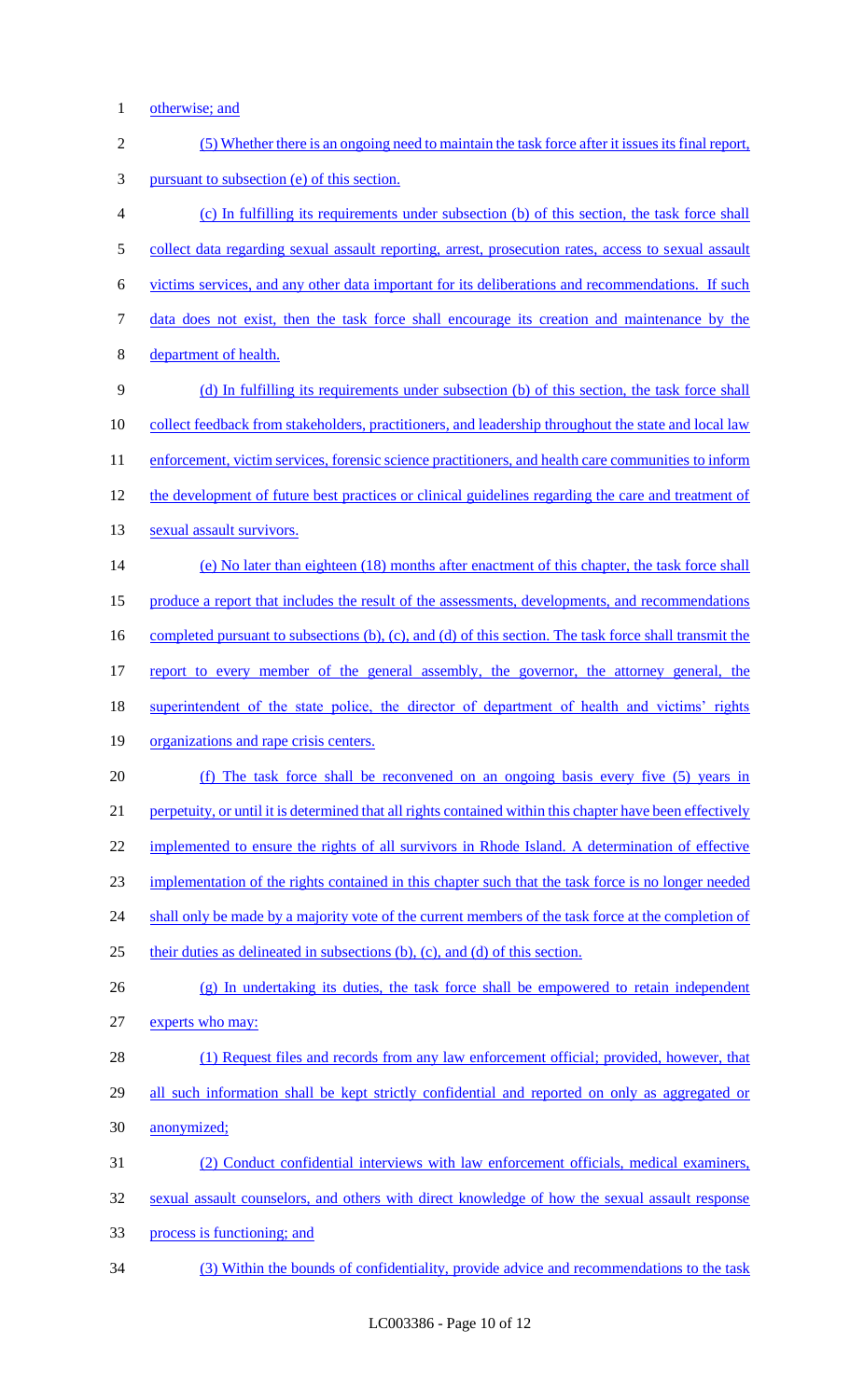1 otherwise; and

| $\sqrt{2}$ | (5) Whether there is an ongoing need to maintain the task force after it issues its final report,           |
|------------|-------------------------------------------------------------------------------------------------------------|
| 3          | pursuant to subsection (e) of this section.                                                                 |
| 4          | (c) In fulfilling its requirements under subsection (b) of this section, the task force shall               |
| 5          | collect data regarding sexual assault reporting, arrest, prosecution rates, access to sexual assault        |
| 6          | victims services, and any other data important for its deliberations and recommendations. If such           |
| 7          | data does not exist, then the task force shall encourage its creation and maintenance by the                |
| 8          | department of health.                                                                                       |
| 9          | (d) In fulfilling its requirements under subsection (b) of this section, the task force shall               |
| 10         | <u>collect feedback from stakeholders, practitioners, and leadership throughout the state and local law</u> |
| 11         | enforcement, victim services, forensic science practitioners, and health care communities to inform         |
| 12         | the development of future best practices or clinical guidelines regarding the care and treatment of         |
| 13         | sexual assault survivors.                                                                                   |
| 14         | (e) No later than eighteen (18) months after enactment of this chapter, the task force shall                |
| 15         | produce a report that includes the result of the assessments, developments, and recommendations             |
| 16         | completed pursuant to subsections (b), (c), and (d) of this section. The task force shall transmit the      |
| 17         | report to every member of the general assembly, the governor, the attorney general, the                     |
| 18         | superintendent of the state police, the director of department of health and victims' rights                |
| 19         | organizations and rape crisis centers.                                                                      |
| 20         | (f) The task force shall be reconvened on an ongoing basis every five (5) years in                          |
| 21         | perpetuity, or until it is determined that all rights contained within this chapter have been effectively   |
| 22         | implemented to ensure the rights of all survivors in Rhode Island. A determination of effective             |
| 23         | implementation of the rights contained in this chapter such that the task force is no longer needed         |
| 24         | shall only be made by a majority vote of the current members of the task force at the completion of         |
| 25         | their duties as delineated in subsections (b), (c), and (d) of this section.                                |
| 26         | (g) In undertaking its duties, the task force shall be empowered to retain independent                      |
| 27         | experts who may:                                                                                            |
| 28         | (1) Request files and records from any law enforcement official; provided, however, that                    |
| 29         | all such information shall be kept strictly confidential and reported on only as aggregated or              |
| 30         | anonymized;                                                                                                 |
| 31         | (2) Conduct confidential interviews with law enforcement officials, medical examiners,                      |
| 32         | sexual assault counselors, and others with direct knowledge of how the sexual assault response              |
| 33         | process is functioning; and                                                                                 |
| 34         | (3) Within the bounds of confidentiality, provide advice and recommendations to the task                    |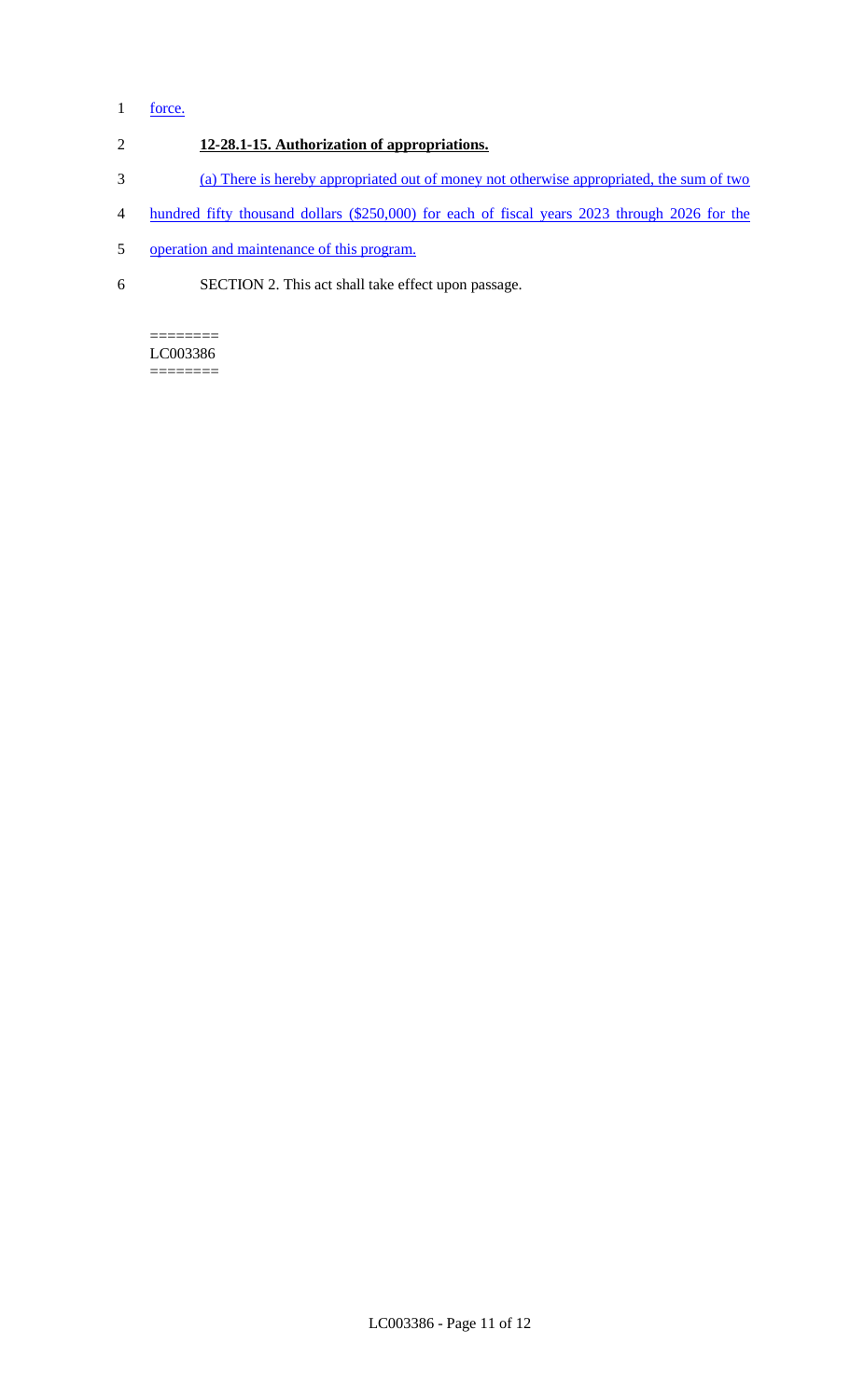# 1 force.

# 2 **12-28.1-15. Authorization of appropriations.**

- 3 (a) There is hereby appropriated out of money not otherwise appropriated, the sum of two
- 4 hundred fifty thousand dollars (\$250,000) for each of fiscal years 2023 through 2026 for the
- 5 operation and maintenance of this program.
- 6 SECTION 2. This act shall take effect upon passage.

### ======== LC003386

========